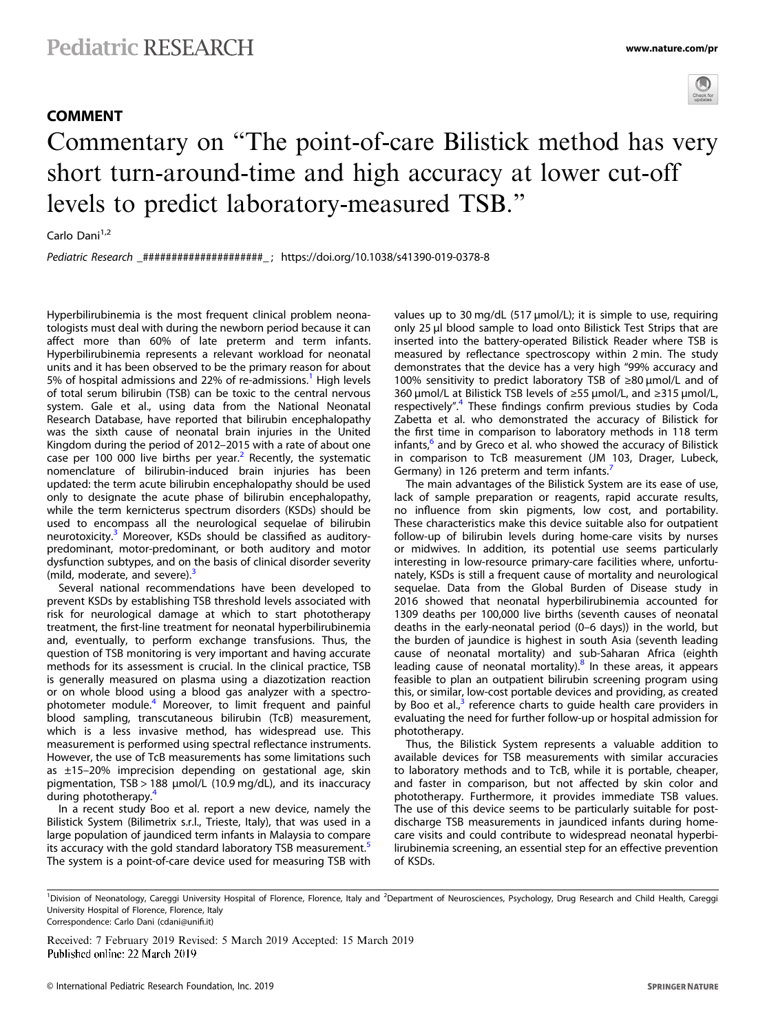## COMMENT



## Commentary on "The point-of-care Bilistick method has very short turn-around-time and high accuracy at lower cut-off levels to predict laboratory-measured TSB."

Carlo Dani<sup>1,2</sup>

Pediatric Research \_#####################\_ ; https://doi.org/10.1038/s41390-019-0378-8

Hyperbilirubinemia is the most frequent clinical problem neonatologists must deal with during the newborn period because it can affect more than 60% of late preterm and term infants. Hyperbilirubinemia represents a relevant workload for neonatal units and it has been observed to be the primary reason for about 5% of hospital admissions and 22% of re-admissions.<sup>[1](#page-1-0)</sup> High levels of total serum bilirubin (TSB) can be toxic to the central nervous system. Gale et al., using data from the National Neonatal Research Database, have reported that bilirubin encephalopathy was the sixth cause of neonatal brain injuries in the United Kingdom during the period of 2012–2015 with a rate of about one case per 100 000 live births per year.<sup>[2](#page-1-0)</sup> Recently, the systematic nomenclature of bilirubin-induced brain injuries has been updated: the term acute bilirubin encephalopathy should be used only to designate the acute phase of bilirubin encephalopathy, while the term kernicterus spectrum disorders (KSDs) should be used to encompass all the neurological sequelae of bilirubin neurotoxicity.<sup>[3](#page-1-0)</sup> Moreover, KSDs should be classified as auditorypredominant, motor-predominant, or both auditory and motor dysfunction subtypes, and on the basis of clinical disorder severity (mild, moderate, and severe). $3$ 

Several national recommendations have been developed to prevent KSDs by establishing TSB threshold levels associated with risk for neurological damage at which to start phototherapy treatment, the first-line treatment for neonatal hyperbilirubinemia and, eventually, to perform exchange transfusions. Thus, the question of TSB monitoring is very important and having accurate methods for its assessment is crucial. In the clinical practice, TSB is generally measured on plasma using a diazotization reaction or on whole blood using a blood gas analyzer with a spectrophotometer module.[4](#page-1-0) Moreover, to limit frequent and painful blood sampling, transcutaneous bilirubin (TcB) measurement, which is a less invasive method, has widespread use. This measurement is performed using spectral reflectance instruments. However, the use of TcB measurements has some limitations such as ±15–20% imprecision depending on gestational age, skin pigmentation, TSB > 188 µmol/L (10.9 mg/dL), and its inaccuracy during phototherapy.[4](#page-1-0)

In a recent study Boo et al. report a new device, namely the Bilistick System (Bilimetrix s.r.l., Trieste, Italy), that was used in a large population of jaundiced term infants in Malaysia to compare its accuracy with the gold standard laboratory TSB measurement.<sup>[5](#page-1-0)</sup> The system is a point-of-care device used for measuring TSB with values up to 30 mg/dL (517 µmol/L); it is simple to use, requiring only 25 μl blood sample to load onto Bilistick Test Strips that are inserted into the battery-operated Bilistick Reader where TSB is measured by reflectance spectroscopy within 2 min. The study demonstrates that the device has a very high "99% accuracy and 100% sensitivity to predict laboratory TSB of ≥80 µmol/L and of 360 µmol/L at Bilistick TSB levels of ≥55 µmol/L, and ≥315 µmol/L, respectively".<sup>[4](#page-1-0)</sup> These findings confirm previous studies by Coda Zabetta et al. who demonstrated the accuracy of Bilistick for the first time in comparison to laboratory methods in 118 term infants, $\frac{6}{5}$  $\frac{6}{5}$  $\frac{6}{5}$  and by Greco et al. who showed the accuracy of Bilistick in comparison to TcB measurement (JM 103, Drager, Lubeck, Germany) in 126 preterm and term infants.

The main advantages of the Bilistick System are its ease of use, lack of sample preparation or reagents, rapid accurate results, no influence from skin pigments, low cost, and portability. These characteristics make this device suitable also for outpatient follow-up of bilirubin levels during home-care visits by nurses or midwives. In addition, its potential use seems particularly interesting in low-resource primary-care facilities where, unfortunately, KSDs is still a frequent cause of mortality and neurological sequelae. Data from the Global Burden of Disease study in 2016 showed that neonatal hyperbilirubinemia accounted for 1309 deaths per 100,000 live births (seventh causes of neonatal deaths in the early-neonatal period (0–6 days)) in the world, but the burden of jaundice is highest in south Asia (seventh leading cause of neonatal mortality) and sub-Saharan Africa (eighth leading cause of neonatal mortality).<sup>[8](#page-1-0)</sup> In these areas, it appears feasible to plan an outpatient bilirubin screening program using this, or similar, low-cost portable devices and providing, as created by Boo et al., $3$  reference charts to quide health care providers in evaluating the need for further follow-up or hospital admission for phototherapy.

Thus, the Bilistick System represents a valuable addition to available devices for TSB measurements with similar accuracies to laboratory methods and to TcB, while it is portable, cheaper, and faster in comparison, but not affected by skin color and phototherapy. Furthermore, it provides immediate TSB values. The use of this device seems to be particularly suitable for postdischarge TSB measurements in jaundiced infants during homecare visits and could contribute to widespread neonatal hyperbilirubinemia screening, an essential step for an effective prevention of KSDs.

Received: 7 February 2019 Revised: 5 March 2019 Accepted: 15 March 2019

<sup>&</sup>lt;sup>1</sup>Division of Neonatology, Careggi University Hospital of Florence, Florence, Italy and <sup>2</sup>Department of Neurosciences, Psychology, Drug Research and Child Health, Careggi University Hospital of Florence, Florence, Italy Correspondence: Carlo Dani ([cdani@uni](mailto:cdani@unifi.it)fi.it)